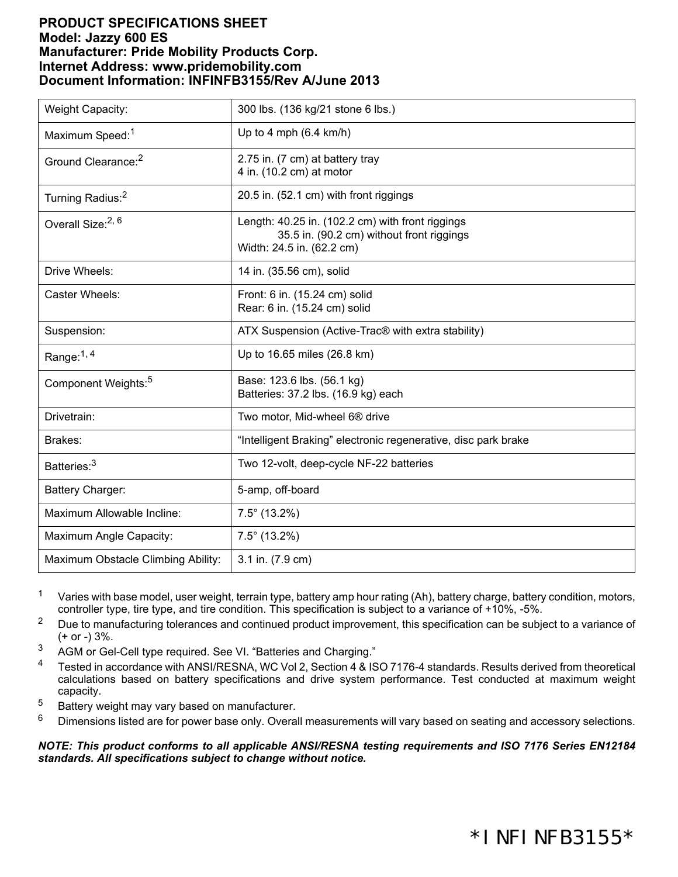## **PRODUCT SPECIFICATIONS SHEET Model: Jazzy 600 ES Manufacturer: Pride Mobility Products Corp. Internet Address: www.pridemobility.com Document Information: INFINFB3155/Rev A/June 2013**

| <b>Weight Capacity:</b>            | 300 lbs. (136 kg/21 stone 6 lbs.)                                                                                          |
|------------------------------------|----------------------------------------------------------------------------------------------------------------------------|
| Maximum Speed: <sup>1</sup>        | Up to 4 mph $(6.4 \text{ km/h})$                                                                                           |
| Ground Clearance: <sup>2</sup>     | 2.75 in. (7 cm) at battery tray<br>4 in. (10.2 cm) at motor                                                                |
| Turning Radius: <sup>2</sup>       | 20.5 in. (52.1 cm) with front riggings                                                                                     |
| Overall Size: <sup>2, 6</sup>      | Length: 40.25 in. (102.2 cm) with front riggings<br>35.5 in. (90.2 cm) without front riggings<br>Width: 24.5 in. (62.2 cm) |
| Drive Wheels:                      | 14 in. (35.56 cm), solid                                                                                                   |
| Caster Wheels:                     | Front: 6 in. (15.24 cm) solid<br>Rear: 6 in. (15.24 cm) solid                                                              |
| Suspension:                        | ATX Suspension (Active-Trac® with extra stability)                                                                         |
| Range: $1, 4$                      | Up to 16.65 miles (26.8 km)                                                                                                |
| Component Weights: <sup>5</sup>    | Base: 123.6 lbs. (56.1 kg)<br>Batteries: 37.2 lbs. (16.9 kg) each                                                          |
| Drivetrain:                        | Two motor, Mid-wheel 6 <sup>®</sup> drive                                                                                  |
| Brakes:                            | "Intelligent Braking" electronic regenerative, disc park brake                                                             |
| Batteries: <sup>3</sup>            | Two 12-volt, deep-cycle NF-22 batteries                                                                                    |
| Battery Charger:                   | 5-amp, off-board                                                                                                           |
| Maximum Allowable Incline:         | $7.5^{\circ}$ (13.2%)                                                                                                      |
| Maximum Angle Capacity:            | $7.5^{\circ}$ (13.2%)                                                                                                      |
| Maximum Obstacle Climbing Ability: | 3.1 in. (7.9 cm)                                                                                                           |

<sup>1</sup> Varies with base model, user weight, terrain type, battery amp hour rating (Ah), battery charge, battery condition, motors, controller type, tire type, and tire condition. This specification is subject to a variance of +10%, -5%.

- <sup>2</sup> Due to manufacturing tolerances and continued product improvement, this specification can be subject to a variance of  $(+ or -) 3\%$ .
- <sup>3</sup> AGM or Gel-Cell type required. See VI. "Batteries and Charging."
- <sup>4</sup> Tested in accordance with ANSI/RESNA, WC Vol 2, Section 4 & ISO 7176-4 standards. Results derived from theoretical calculations based on battery specifications and drive system performance. Test conducted at maximum weight capacity.
- <sup>5</sup> Battery weight may vary based on manufacturer.
- $6$  Dimensions listed are for power base only. Overall measurements will vary based on seating and accessory selections.

*NOTE: This product conforms to all applicable ANSI/RESNA testing requirements and ISO 7176 Series EN12184 standards. All specifications subject to change without notice.*